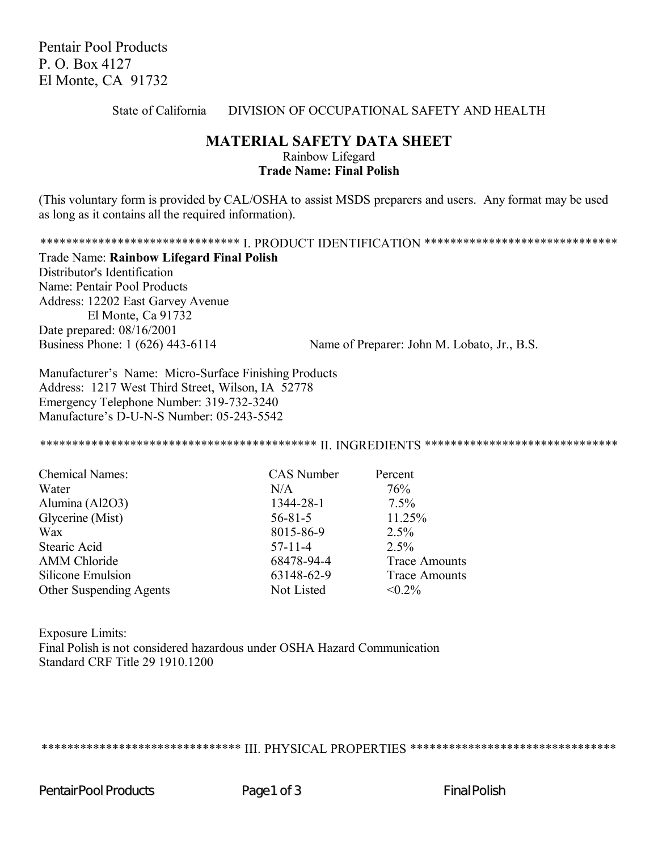Pentair Pool Products P. O. Box 4127 El Monte, CA 91732

## State of California DIVISION OF OCCUPATIONAL SAFETY AND HEALTH

## **MATERIAL SAFETY DATA SHEET** Rainbow Lifegard **Trade Name: Final Polish**

(This voluntary form is provided by CAL/OSHA to assist MSDS preparers and users. Any format may be used as long as it contains all the required information).

\*\*\*\*\*\*\*\*\*\*\*\*\*\*\*\*\*\*\*\*\*\*\*\*\*\*\*\*\*\*\*\*\* I. PRODUCT IDENTIFICATION \*\*\*\*\*\*\*\*\*\*\*\*\*\*\*\*\*\*\*\*\*\*\*\*\*\*\*\*\*\*\*\* Trade Name: **Rainbow Lifegard Final Polish** Distributor's Identification

Name: Pentair Pool Products Address: 12202 East Garvey Avenue El Monte, Ca 91732 Date prepared: 08/16/2001

Business Phone: 1 (626) 443-6114 Name of Preparer: John M. Lobato, Jr., B.S.

Manufacturer's Name: Micro-Surface Finishing Products Address: 1217 West Third Street, Wilson, IA 52778 Emergency Telephone Number: 319-732-3240 Manufacture's D-U-N-S Number: 05-243-5542

\*\*\*\*\*\*\*\*\*\*\*\*\*\*\*\*\*\*\*\*\*\*\*\*\*\*\*\*\*\*\*\*\*\*\*\*\*\*\*\*\*\*\* II. INGREDIENTS \*\*\*\*\*\*\*\*\*\*\*\*\*\*\*\*\*\*\*\*\*\*\*\*\*\*\*\*\*\*

| <b>Chemical Names:</b>  | <b>CAS</b> Number | Percent              |
|-------------------------|-------------------|----------------------|
| Water                   | N/A               | 76%                  |
| Alumina (Al2O3)         | 1344-28-1         | $7.5\%$              |
| Glycerine (Mist)        | $56 - 81 - 5$     | 11.25%               |
| Wax                     | 8015-86-9         | 2.5%                 |
| Stearic Acid            | $57 - 11 - 4$     | 2.5%                 |
| <b>AMM</b> Chloride     | 68478-94-4        | <b>Trace Amounts</b> |
| Silicone Emulsion       | 63148-62-9        | <b>Trace Amounts</b> |
| Other Suspending Agents | Not Listed        | $< 0.2\%$            |

Exposure Limits: Final Polish is not considered hazardous under OSHA Hazard Communication Standard CRF Title 29 1910.1200

\*\*\*\*\*\*\*\*\*\*\*\*\*\*\*\*\*\*\*\*\*\*\*\*\*\*\*\*\*\*\*\* III. PHYSICAL PROPERTIES \*\*\*\*\*\*\*\*\*\*\*\*\*\*\*\*\*\*\*\*\*\*\*\*\*\*\*\*\*\*\*\*\*\*

Pentair Pool Products **Page 1 of 3** Final Polish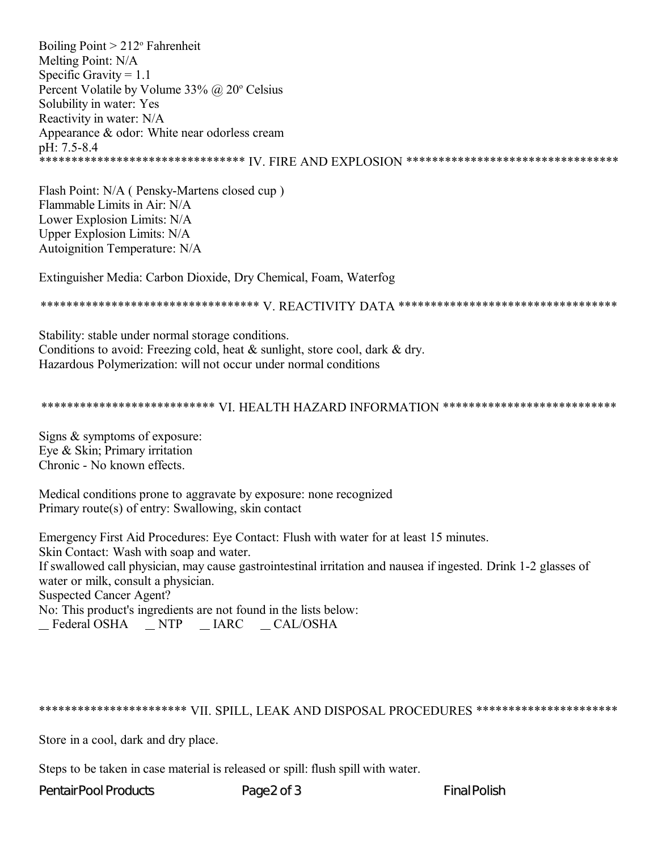Boiling Point  $> 212$ ° Fahrenheit Melting Point: N/A Specific Gravity =  $1.1$ Percent Volatile by Volume  $33\%$  @  $20^{\circ}$  Celsius Solubility in water: Yes Reactivity in water: N/A Appearance & odor: White near odorless cream pH: 7.5-8.4 <u>.</u><br>\*\*\*\*\*\*\*\*\*\*\*\*\*\*\*\*\*\*\*\*\*\*\*\*\*\*\*\*\*\*\*\*\* IV. FIRE AND EXPLOSION \*\*\*\*\*\*\*\*\*\*\*\*\*\*\*\*\*\*\*\*\*\*\*\*\*\*\*\*\*\*\*\*\*\*

Flash Point: N/A (Pensky-Martens closed cup) Flammable Limits in Air: N/A Lower Explosion Limits: N/A Upper Explosion Limits: N/A Autoignition Temperature: N/A

Extinguisher Media: Carbon Dioxide, Dry Chemical, Foam, Waterfog

Stability: stable under normal storage conditions. Conditions to avoid: Freezing cold, heat  $\&$  sunlight, store cool, dark  $\&$  dry. Hazardous Polymerization: will not occur under normal conditions

\*\*\*\*\*\*\*\*\*\*\*\*\*\*\*\*\*\*\*\*\*\*\*\*\*\*\* VI. HEALTH HAZARD INFORMATION \*\*\*\*\*\*\*\*\*\*\*\*\*\*\*\*\*\*\*\*\*\*\*\*\*\*\*

Signs  $&$  symptoms of exposure: Eye & Skin; Primary irritation Chronic - No known effects.

Medical conditions prone to aggravate by exposure: none recognized Primary route(s) of entry: Swallowing, skin contact

Emergency First Aid Procedures: Eye Contact: Flush with water for at least 15 minutes. Skin Contact: Wash with soap and water. If swallowed call physician, may cause gastrointestinal irritation and nausea if ingested. Drink 1-2 glasses of water or milk, consult a physician. **Suspected Cancer Agent?** No: This product's ingredients are not found in the lists below: \_Federal OSHA \_NTP \_IARC \_CAL/OSHA

## \*\*\*\*\*\*\*\*\*\*\*\*\*\*\*\*\*\*\*\*\*\*\* VII. SPILL, LEAK AND DISPOSAL PROCEDURES \*\*\*\*\*\*\*\*\*\*\*\*\*\*\*\*\*\*\*\*\*\*

Store in a cool, dark and dry place.

Steps to be taken in case material is released or spill: flush spill with water.

**PentairPool Products** 

Page2 of 3

**Final Polish**